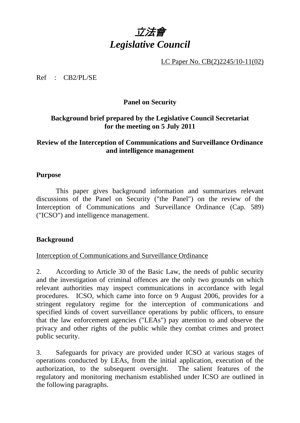

LC Paper No. CB(2)2245/10-11(02)

Ref : CB2/PL/SE

#### **Panel on Security**

## **Background brief prepared by the Legislative Council Secretariat for the meeting on 5 July 2011**

## **Review of the Interception of Communications and Surveillance Ordinance and intelligence management**

#### **Purpose**

 This paper gives background information and summarizes relevant discussions of the Panel on Security ("the Panel") on the review of the Interception of Communications and Surveillance Ordinance (Cap. 589) ("ICSO") and intelligence management.

#### **Background**

#### Interception of Communications and Surveillance Ordinance

2. According to Article 30 of the Basic Law, the needs of public security and the investigation of criminal offences are the only two grounds on which relevant authorities may inspect communications in accordance with legal procedures. ICSO, which came into force on 9 August 2006, provides for a stringent regulatory regime for the interception of communications and specified kinds of covert surveillance operations by public officers, to ensure that the law enforcement agencies ("LEAs") pay attention to and observe the privacy and other rights of the public while they combat crimes and protect public security.

3. Safeguards for privacy are provided under ICSO at various stages of operations conducted by LEAs, from the initial application, execution of the authorization, to the subsequent oversight. The salient features of the regulatory and monitoring mechanism established under ICSO are outlined in the following paragraphs.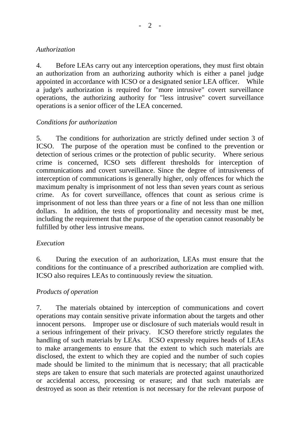## *Authorization*

4. Before LEAs carry out any interception operations, they must first obtain an authorization from an authorizing authority which is either a panel judge appointed in accordance with ICSO or a designated senior LEA officer. While a judge's authorization is required for "more intrusive" covert surveillance operations, the authorizing authority for "less intrusive" covert surveillance operations is a senior officer of the LEA concerned.

# *Conditions for authorization*

5. The conditions for authorization are strictly defined under section 3 of ICSO. The purpose of the operation must be confined to the prevention or detection of serious crimes or the protection of public security. Where serious crime is concerned, ICSO sets different thresholds for interception of communications and covert surveillance. Since the degree of intrusiveness of interception of communications is generally higher, only offences for which the maximum penalty is imprisonment of not less than seven years count as serious crime. As for covert surveillance, offences that count as serious crime is imprisonment of not less than three years or a fine of not less than one million dollars. In addition, the tests of proportionality and necessity must be met, including the requirement that the purpose of the operation cannot reasonably be fulfilled by other less intrusive means.

#### *Execution*

6. During the execution of an authorization, LEAs must ensure that the conditions for the continuance of a prescribed authorization are complied with. ICSO also requires LEAs to continuously review the situation.

# *Products of operation*

7. The materials obtained by interception of communications and covert operations may contain sensitive private information about the targets and other innocent persons. Improper use or disclosure of such materials would result in a serious infringement of their privacy. ICSO therefore strictly regulates the handling of such materials by LEAs. ICSO expressly requires heads of LEAs to make arrangements to ensure that the extent to which such materials are disclosed, the extent to which they are copied and the number of such copies made should be limited to the minimum that is necessary; that all practicable steps are taken to ensure that such materials are protected against unauthorized or accidental access, processing or erasure; and that such materials are destroyed as soon as their retention is not necessary for the relevant purpose of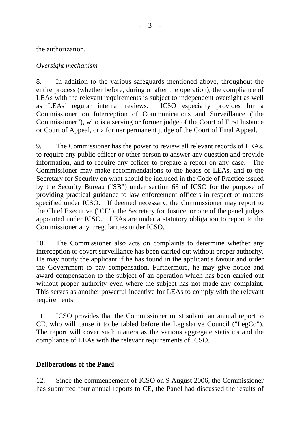the authorization.

#### *Oversight mechanism*

8. In addition to the various safeguards mentioned above, throughout the entire process (whether before, during or after the operation), the compliance of LEAs with the relevant requirements is subject to independent oversight as well as LEAs' regular internal reviews. ICSO especially provides for a Commissioner on Interception of Communications and Surveillance ("the Commissioner"), who is a serving or former judge of the Court of First Instance or Court of Appeal, or a former permanent judge of the Court of Final Appeal.

9. The Commissioner has the power to review all relevant records of LEAs, to require any public officer or other person to answer any question and provide information, and to require any officer to prepare a report on any case. The Commissioner may make recommendations to the heads of LEAs, and to the Secretary for Security on what should be included in the Code of Practice issued by the Security Bureau ("SB") under section 63 of ICSO for the purpose of providing practical guidance to law enforcement officers in respect of matters specified under ICSO. If deemed necessary, the Commissioner may report to the Chief Executive ("CE"), the Secretary for Justice, or one of the panel judges appointed under ICSO. LEAs are under a statutory obligation to report to the Commissioner any irregularities under ICSO.

10. The Commissioner also acts on complaints to determine whether any interception or covert surveillance has been carried out without proper authority. He may notify the applicant if he has found in the applicant's favour and order the Government to pay compensation. Furthermore, he may give notice and award compensation to the subject of an operation which has been carried out without proper authority even where the subject has not made any complaint. This serves as another powerful incentive for LEAs to comply with the relevant requirements.

11. ICSO provides that the Commissioner must submit an annual report to CE, who will cause it to be tabled before the Legislative Council ("LegCo"). The report will cover such matters as the various aggregate statistics and the compliance of LEAs with the relevant requirements of ICSO.

#### **Deliberations of the Panel**

12. Since the commencement of ICSO on 9 August 2006, the Commissioner has submitted four annual reports to CE, the Panel had discussed the results of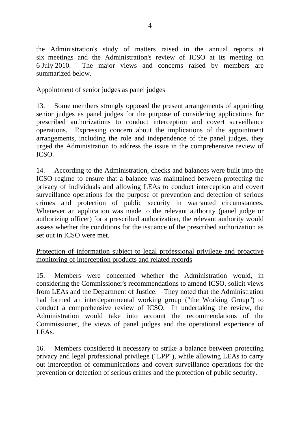the Administration's study of matters raised in the annual reports at six meetings and the Administration's review of ICSO at its meeting on 6 July 2010. The major views and concerns raised by members are summarized below.

## Appointment of senior judges as panel judges

13. Some members strongly opposed the present arrangements of appointing senior judges as panel judges for the purpose of considering applications for prescribed authorizations to conduct interception and covert surveillance operations. Expressing concern about the implications of the appointment arrangements, including the role and independence of the panel judges, they urged the Administration to address the issue in the comprehensive review of ICSO.

14. According to the Administration, checks and balances were built into the ICSO regime to ensure that a balance was maintained between protecting the privacy of individuals and allowing LEAs to conduct interception and covert surveillance operations for the purpose of prevention and detection of serious crimes and protection of public security in warranted circumstances. Whenever an application was made to the relevant authority (panel judge or authorizing officer) for a prescribed authorization, the relevant authority would assess whether the conditions for the issuance of the prescribed authorization as set out in ICSO were met.

Protection of information subject to legal professional privilege and proactive monitoring of interception products and related records

15. Members were concerned whether the Administration would, in considering the Commissioner's recommendations to amend ICSO, solicit views from LEAs and the Department of Justice. They noted that the Administration had formed an interdepartmental working group ("the Working Group") to conduct a comprehensive review of ICSO. In undertaking the review, the Administration would take into account the recommendations of the Commissioner, the views of panel judges and the operational experience of LEAs.

16. Members considered it necessary to strike a balance between protecting privacy and legal professional privilege ("LPP"), while allowing LEAs to carry out interception of communications and covert surveillance operations for the prevention or detection of serious crimes and the protection of public security.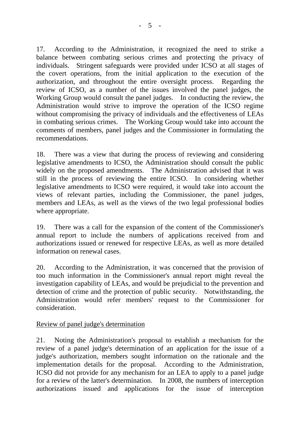17. According to the Administration, it recognized the need to strike a balance between combating serious crimes and protecting the privacy of individuals. Stringent safeguards were provided under ICSO at all stages of the covert operations, from the initial application to the execution of the authorization, and throughout the entire oversight process. Regarding the review of ICSO, as a number of the issues involved the panel judges, the Working Group would consult the panel judges. In conducting the review, the Administration would strive to improve the operation of the ICSO regime without compromising the privacy of individuals and the effectiveness of LEAs in combating serious crimes. The Working Group would take into account the comments of members, panel judges and the Commissioner in formulating the recommendations.

18. There was a view that during the process of reviewing and considering legislative amendments to ICSO, the Administration should consult the public widely on the proposed amendments. The Administration advised that it was still in the process of reviewing the entire ICSO. In considering whether legislative amendments to ICSO were required, it would take into account the views of relevant parties, including the Commissioner, the panel judges, members and LEAs, as well as the views of the two legal professional bodies where appropriate.

19. There was a call for the expansion of the content of the Commissioner's annual report to include the numbers of applications received from and authorizations issued or renewed for respective LEAs, as well as more detailed information on renewal cases.

20. According to the Administration, it was concerned that the provision of too much information in the Commissioner's annual report might reveal the investigation capability of LEAs, and would be prejudicial to the prevention and detection of crime and the protection of public security. Notwithstanding, the Administration would refer members' request to the Commissioner for consideration.

#### Review of panel judge's determination

21. Noting the Administration's proposal to establish a mechanism for the review of a panel judge's determination of an application for the issue of a judge's authorization, members sought information on the rationale and the implementation details for the proposal. According to the Administration, ICSO did not provide for any mechanism for an LEA to apply to a panel judge for a review of the latter's determination. In 2008, the numbers of interception authorizations issued and applications for the issue of interception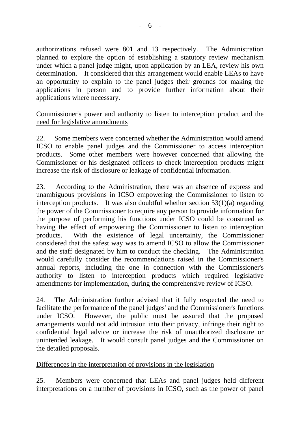authorizations refused were 801 and 13 respectively. The Administration planned to explore the option of establishing a statutory review mechanism under which a panel judge might, upon application by an LEA, review his own determination. It considered that this arrangement would enable LEAs to have an opportunity to explain to the panel judges their grounds for making the applications in person and to provide further information about their applications where necessary.

## Commissioner's power and authority to listen to interception product and the need for legislative amendments

22. Some members were concerned whether the Administration would amend ICSO to enable panel judges and the Commissioner to access interception products. Some other members were however concerned that allowing the Commissioner or his designated officers to check interception products might increase the risk of disclosure or leakage of confidential information.

23. According to the Administration, there was an absence of express and unambiguous provisions in ICSO empowering the Commissioner to listen to interception products. It was also doubtful whether section 53(1)(a) regarding the power of the Commissioner to require any person to provide information for the purpose of performing his functions under ICSO could be construed as having the effect of empowering the Commissioner to listen to interception products. With the existence of legal uncertainty, the Commissioner considered that the safest way was to amend ICSO to allow the Commissioner and the staff designated by him to conduct the checking. The Administration would carefully consider the recommendations raised in the Commissioner's annual reports, including the one in connection with the Commissioner's authority to listen to interception products which required legislative amendments for implementation, during the comprehensive review of ICSO.

24. The Administration further advised that it fully respected the need to facilitate the performance of the panel judges' and the Commissioner's functions under ICSO. However, the public must be assured that the proposed arrangements would not add intrusion into their privacy, infringe their right to confidential legal advice or increase the risk of unauthorized disclosure or unintended leakage. It would consult panel judges and the Commissioner on the detailed proposals.

# Differences in the interpretation of provisions in the legislation

25. Members were concerned that LEAs and panel judges held different interpretations on a number of provisions in ICSO, such as the power of panel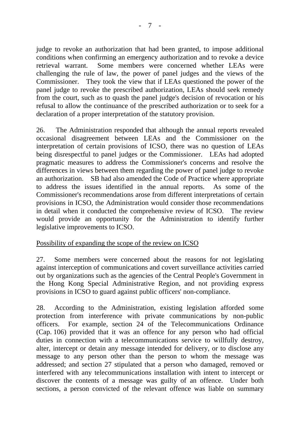judge to revoke an authorization that had been granted, to impose additional conditions when confirming an emergency authorization and to revoke a device retrieval warrant. Some members were concerned whether LEAs were challenging the rule of law, the power of panel judges and the views of the Commissioner. They took the view that if LEAs questioned the power of the panel judge to revoke the prescribed authorization, LEAs should seek remedy from the court, such as to quash the panel judge's decision of revocation or his refusal to allow the continuance of the prescribed authorization or to seek for a declaration of a proper interpretation of the statutory provision.

26. The Administration responded that although the annual reports revealed occasional disagreement between LEAs and the Commissioner on the interpretation of certain provisions of ICSO, there was no question of LEAs being disrespectful to panel judges or the Commissioner. LEAs had adopted pragmatic measures to address the Commissioner's concerns and resolve the differences in views between them regarding the power of panel judge to revoke an authorization. SB had also amended the Code of Practice where appropriate to address the issues identified in the annual reports. As some of the Commissioner's recommendations arose from different interpretations of certain provisions in ICSO, the Administration would consider those recommendations in detail when it conducted the comprehensive review of ICSO. The review would provide an opportunity for the Administration to identify further legislative improvements to ICSO.

#### Possibility of expanding the scope of the review on ICSO

27. Some members were concerned about the reasons for not legislating against interception of communications and covert surveillance activities carried out by organizations such as the agencies of the Central People's Government in the Hong Kong Special Administrative Region, and not providing express provisions in ICSO to guard against public officers' non-compliance.

28. According to the Administration, existing legislation afforded some protection from interference with private communications by non-public officers. For example, section 24 of the Telecommunications Ordinance (Cap. 106) provided that it was an offence for any person who had official duties in connection with a telecommunications service to willfully destroy, alter, intercept or detain any message intended for delivery, or to disclose any message to any person other than the person to whom the message was addressed; and section 27 stipulated that a person who damaged, removed or interfered with any telecommunications installation with intent to intercept or discover the contents of a message was guilty of an offence. Under both sections, a person convicted of the relevant offence was liable on summary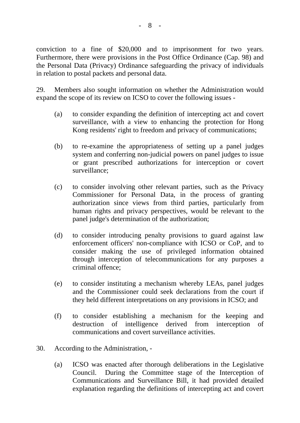conviction to a fine of \$20,000 and to imprisonment for two years. Furthermore, there were provisions in the Post Office Ordinance (Cap. 98) and the Personal Data (Privacy) Ordinance safeguarding the privacy of individuals in relation to postal packets and personal data.

29. Members also sought information on whether the Administration would expand the scope of its review on ICSO to cover the following issues -

- (a) to consider expanding the definition of intercepting act and covert surveillance, with a view to enhancing the protection for Hong Kong residents' right to freedom and privacy of communications;
- (b) to re-examine the appropriateness of setting up a panel judges system and conferring non-judicial powers on panel judges to issue or grant prescribed authorizations for interception or covert surveillance;
- (c) to consider involving other relevant parties, such as the Privacy Commissioner for Personal Data, in the process of granting authorization since views from third parties, particularly from human rights and privacy perspectives, would be relevant to the panel judge's determination of the authorization;
- (d) to consider introducing penalty provisions to guard against law enforcement officers' non-compliance with ICSO or CoP, and to consider making the use of privileged information obtained through interception of telecommunications for any purposes a criminal offence;
- (e) to consider instituting a mechanism whereby LEAs, panel judges and the Commissioner could seek declarations from the court if they held different interpretations on any provisions in ICSO; and
- (f) to consider establishing a mechanism for the keeping and destruction of intelligence derived from interception of communications and covert surveillance activities.
- 30. According to the Administration,
	- (a) ICSO was enacted after thorough deliberations in the Legislative Council. During the Committee stage of the Interception of Communications and Surveillance Bill, it had provided detailed explanation regarding the definitions of intercepting act and covert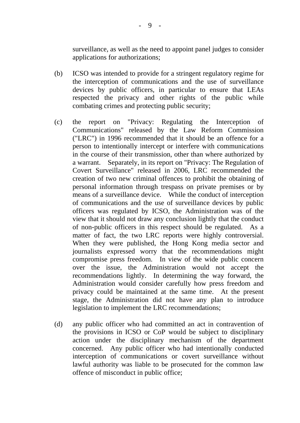surveillance, as well as the need to appoint panel judges to consider applications for authorizations;

- (b) ICSO was intended to provide for a stringent regulatory regime for the interception of communications and the use of surveillance devices by public officers, in particular to ensure that LEAs respected the privacy and other rights of the public while combating crimes and protecting public security;
- (c) the report on "Privacy: Regulating the Interception of Communications" released by the Law Reform Commission ("LRC") in 1996 recommended that it should be an offence for a person to intentionally intercept or interfere with communications in the course of their transmission, other than where authorized by a warrant. Separately, in its report on "Privacy: The Regulation of Covert Surveillance" released in 2006, LRC recommended the creation of two new criminal offences to prohibit the obtaining of personal information through trespass on private premises or by means of a surveillance device. While the conduct of interception of communications and the use of surveillance devices by public officers was regulated by ICSO, the Administration was of the view that it should not draw any conclusion lightly that the conduct of non-public officers in this respect should be regulated. As a matter of fact, the two LRC reports were highly controversial. When they were published, the Hong Kong media sector and journalists expressed worry that the recommendations might compromise press freedom. In view of the wide public concern over the issue, the Administration would not accept the recommendations lightly. In determining the way forward, the Administration would consider carefully how press freedom and privacy could be maintained at the same time. At the present stage, the Administration did not have any plan to introduce legislation to implement the LRC recommendations;
- (d) any public officer who had committed an act in contravention of the provisions in ICSO or CoP would be subject to disciplinary action under the disciplinary mechanism of the department concerned. Any public officer who had intentionally conducted interception of communications or covert surveillance without lawful authority was liable to be prosecuted for the common law offence of misconduct in public office;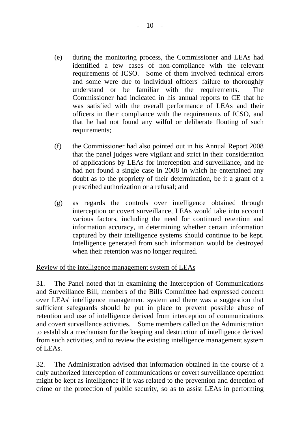- (e) during the monitoring process, the Commissioner and LEAs had identified a few cases of non-compliance with the relevant requirements of ICSO. Some of them involved technical errors and some were due to individual officers' failure to thoroughly understand or be familiar with the requirements. The Commissioner had indicated in his annual reports to CE that he was satisfied with the overall performance of LEAs and their officers in their compliance with the requirements of ICSO, and that he had not found any wilful or deliberate flouting of such requirements;
- (f) the Commissioner had also pointed out in his Annual Report 2008 that the panel judges were vigilant and strict in their consideration of applications by LEAs for interception and surveillance, and he had not found a single case in 2008 in which he entertained any doubt as to the propriety of their determination, be it a grant of a prescribed authorization or a refusal; and
- (g) as regards the controls over intelligence obtained through interception or covert surveillance, LEAs would take into account various factors, including the need for continued retention and information accuracy, in determining whether certain information captured by their intelligence systems should continue to be kept. Intelligence generated from such information would be destroyed when their retention was no longer required.

# Review of the intelligence management system of LEAs

31. The Panel noted that in examining the Interception of Communications and Surveillance Bill, members of the Bills Committee had expressed concern over LEAs' intelligence management system and there was a suggestion that sufficient safeguards should be put in place to prevent possible abuse of retention and use of intelligence derived from interception of communications and covert surveillance activities. Some members called on the Administration to establish a mechanism for the keeping and destruction of intelligence derived from such activities, and to review the existing intelligence management system of LEAs.

32. The Administration advised that information obtained in the course of a duly authorized interception of communications or covert surveillance operation might be kept as intelligence if it was related to the prevention and detection of crime or the protection of public security, so as to assist LEAs in performing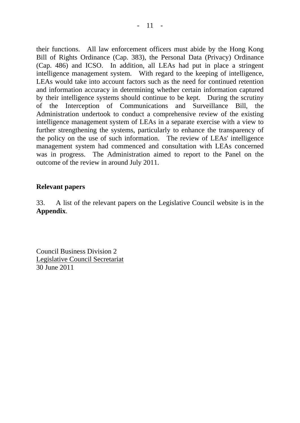their functions. All law enforcement officers must abide by the Hong Kong Bill of Rights Ordinance (Cap. 383), the Personal Data (Privacy) Ordinance (Cap. 486) and ICSO. In addition, all LEAs had put in place a stringent intelligence management system. With regard to the keeping of intelligence, LEAs would take into account factors such as the need for continued retention and information accuracy in determining whether certain information captured by their intelligence systems should continue to be kept. During the scrutiny of the Interception of Communications and Surveillance Bill, the Administration undertook to conduct a comprehensive review of the existing intelligence management system of LEAs in a separate exercise with a view to further strengthening the systems, particularly to enhance the transparency of the policy on the use of such information. The review of LEAs' intelligence management system had commenced and consultation with LEAs concerned was in progress. The Administration aimed to report to the Panel on the outcome of the review in around July 2011.

## **Relevant papers**

33. A list of the relevant papers on the Legislative Council website is in the **Appendix**.

Council Business Division 2 Legislative Council Secretariat 30 June 2011